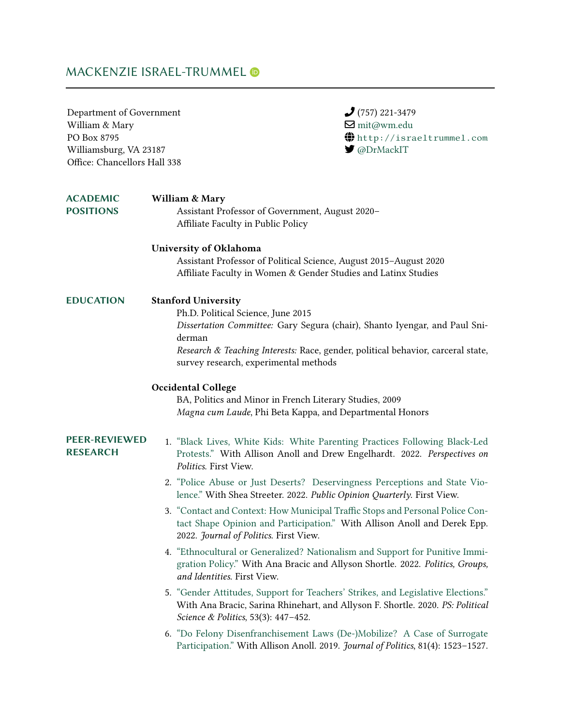# MACKENZIE ISRAEL-TRUMMEL

| Department of Government<br>William & Mary<br>PO Box 8795<br>Williamsburg, VA 23187<br>Office: Chancellors Hall 338 | $(757)$ 221-3479<br>$\blacksquare$ mit@wm.edu<br>$\bigoplus$ http://israeltrummel.com<br>$\blacktriangleright$ @DrMackIT                                                                                                                                                              |
|---------------------------------------------------------------------------------------------------------------------|---------------------------------------------------------------------------------------------------------------------------------------------------------------------------------------------------------------------------------------------------------------------------------------|
| <b>ACADEMIC</b><br><b>POSITIONS</b>                                                                                 | <b>William &amp; Mary</b><br>Assistant Professor of Government, August 2020-<br>Affiliate Faculty in Public Policy                                                                                                                                                                    |
|                                                                                                                     | University of Oklahoma<br>Assistant Professor of Political Science, August 2015-August 2020<br>Affiliate Faculty in Women & Gender Studies and Latinx Studies                                                                                                                         |
| <b>EDUCATION</b>                                                                                                    | <b>Stanford University</b><br>Ph.D. Political Science, June 2015<br>Dissertation Committee: Gary Segura (chair), Shanto Iyengar, and Paul Sni-<br>derman<br>Research & Teaching Interests: Race, gender, political behavior, carceral state,<br>survey research, experimental methods |
|                                                                                                                     | <b>Occidental College</b><br>BA, Politics and Minor in French Literary Studies, 2009<br>Magna cum Laude, Phi Beta Kappa, and Departmental Honors                                                                                                                                      |
| <b>PEER-REVIEWED</b><br><b>RESEARCH</b>                                                                             | 1. "Black Lives, White Kids: White Parenting Practices Following Black-Led<br>Protests." With Allison Anoll and Drew Engelhardt. 2022. Perspectives on<br>Politics. First View.<br>2. "Police Abuse or Just Deserts? Deservingness Perceptions and State Vio-                         |
|                                                                                                                     | lence." With Shea Streeter. 2022. Public Opinion Quarterly. First View.<br>3. "Contact and Context: How Municipal Traffic Stops and Personal Police Con-<br>tact Shape Opinion and Participation." With Allison Anoll and Derek Epp.<br>2022. Journal of Politics. First View.        |
|                                                                                                                     | 4. "Ethnocultural or Generalized? Nationalism and Support for Punitive Immi-<br>gration Policy." With Ana Bracic and Allyson Shortle. 2022. Politics, Groups,<br>and Identities. First View.                                                                                          |
|                                                                                                                     | 5. "Gender Attitudes, Support for Teachers' Strikes, and Legislative Elections."<br>With Ana Bracic, Sarina Rhinehart, and Allyson F. Shortle. 2020. PS: Political<br>Science & Politics, 53(3): 447-452.                                                                             |
|                                                                                                                     | 6. "Do Felony Disenfranchisement Laws (De-)Mobilize? A Case of Surrogate<br>Participation." With Allison Anoll. 2019. Journal of Politics, 81(4): 1523-1527.                                                                                                                          |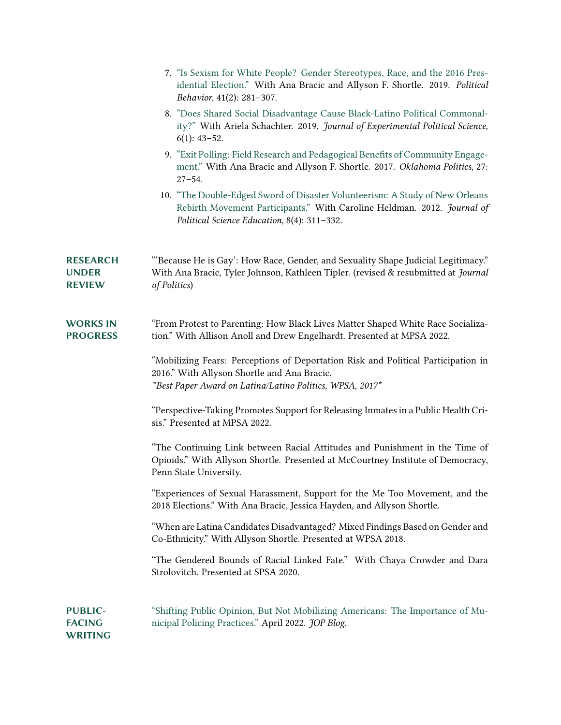|                                                  | 7. "Is Sexism for White People? Gender Stereotypes, Race, and the 2016 Pres-<br>idential Election." With Ana Bracic and Allyson F. Shortle. 2019. Political<br>Behavior, 41(2): 281-307.               |
|--------------------------------------------------|--------------------------------------------------------------------------------------------------------------------------------------------------------------------------------------------------------|
|                                                  | 8. "Does Shared Social Disadvantage Cause Black-Latino Political Commonal-<br>ity?" With Ariela Schachter. 2019. Journal of Experimental Political Science,<br>$6(1): 43-52.$                          |
|                                                  | 9. "Exit Polling: Field Research and Pedagogical Benefits of Community Engage-<br>ment." With Ana Bracic and Allyson F. Shortle. 2017. Oklahoma Politics, 27:<br>$27 - 54.$                            |
|                                                  | 10. "The Double-Edged Sword of Disaster Volunteerism: A Study of New Orleans<br>Rebirth Movement Participants." With Caroline Heldman. 2012. Journal of<br>Political Science Education, 8(4): 311-332. |
| <b>RESEARCH</b><br><b>UNDER</b><br><b>REVIEW</b> | "Because He is Gay': How Race, Gender, and Sexuality Shape Judicial Legitimacy."<br>With Ana Bracic, Tyler Johnson, Kathleen Tipler. (revised & resubmitted at Journal<br>of Politics)                 |
| <b>WORKS IN</b><br><b>PROGRESS</b>               | "From Protest to Parenting: How Black Lives Matter Shaped White Race Socializa-<br>tion." With Allison Anoll and Drew Engelhardt. Presented at MPSA 2022.                                              |
|                                                  | "Mobilizing Fears: Perceptions of Deportation Risk and Political Participation in<br>2016." With Allyson Shortle and Ana Bracic.<br>*Best Paper Award on Latina/Latino Politics, WPSA, 2017*           |
|                                                  | "Perspective-Taking Promotes Support for Releasing Inmates in a Public Health Cri-<br>sis." Presented at MPSA 2022.                                                                                    |
|                                                  | "The Continuing Link between Racial Attitudes and Punishment in the Time of<br>Opioids." With Allyson Shortle. Presented at McCourtney Institute of Democracy,<br>Penn State University.               |
|                                                  | "Experiences of Sexual Harassment, Support for the Me Too Movement, and the<br>2018 Elections." With Ana Bracic, Jessica Hayden, and Allyson Shortle.                                                  |
|                                                  | "When are Latina Candidates Disadvantaged? Mixed Findings Based on Gender and<br>Co-Ethnicity." With Allyson Shortle. Presented at WPSA 2018.                                                          |
|                                                  | "The Gendered Bounds of Racial Linked Fate." With Chaya Crowder and Dara<br>Strolovitch. Presented at SPSA 2020.                                                                                       |
| <b>PUBLIC-</b><br><b>FACING</b><br>WRITING       | "Shifting Public Opinion, But Not Mobilizing Americans: The Importance of Mu-<br>nicipal Policing Practices." April 2022. JOP Blog.                                                                    |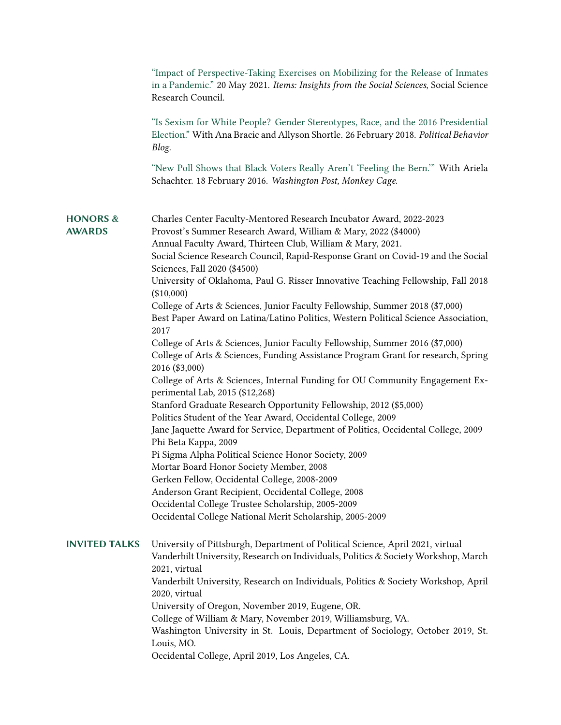|                                      | "Impact of Perspective-Taking Exercises on Mobilizing for the Release of Inmates<br>in a Pandemic." 20 May 2021. Items: Insights from the Social Sciences, Social Science<br>Research Council.                                                                                                                          |
|--------------------------------------|-------------------------------------------------------------------------------------------------------------------------------------------------------------------------------------------------------------------------------------------------------------------------------------------------------------------------|
|                                      | "Is Sexism for White People? Gender Stereotypes, Race, and the 2016 Presidential<br>Election." With Ana Bracic and Allyson Shortle. 26 February 2018. Political Behavior<br>Blog.                                                                                                                                       |
|                                      | "New Poll Shows that Black Voters Really Aren't 'Feeling the Bern." With Ariela<br>Schachter. 18 February 2016. Washington Post, Monkey Cage.                                                                                                                                                                           |
| <b>HONORS &amp;</b><br><b>AWARDS</b> | Charles Center Faculty-Mentored Research Incubator Award, 2022-2023<br>Provost's Summer Research Award, William & Mary, 2022 (\$4000)<br>Annual Faculty Award, Thirteen Club, William & Mary, 2021.<br>Social Science Research Council, Rapid-Response Grant on Covid-19 and the Social<br>Sciences, Fall 2020 (\$4500) |
|                                      | University of Oklahoma, Paul G. Risser Innovative Teaching Fellowship, Fall 2018<br>$(\$10,000)$                                                                                                                                                                                                                        |
|                                      | College of Arts & Sciences, Junior Faculty Fellowship, Summer 2018 (\$7,000)<br>Best Paper Award on Latina/Latino Politics, Western Political Science Association,<br>2017                                                                                                                                              |
|                                      | College of Arts & Sciences, Junior Faculty Fellowship, Summer 2016 (\$7,000)<br>College of Arts & Sciences, Funding Assistance Program Grant for research, Spring<br>2016 (\$3,000)                                                                                                                                     |
|                                      | College of Arts & Sciences, Internal Funding for OU Community Engagement Ex-<br>perimental Lab, 2015 (\$12,268)                                                                                                                                                                                                         |
|                                      | Stanford Graduate Research Opportunity Fellowship, 2012 (\$5,000)                                                                                                                                                                                                                                                       |
|                                      | Politics Student of the Year Award, Occidental College, 2009<br>Jane Jaquette Award for Service, Department of Politics, Occidental College, 2009<br>Phi Beta Kappa, 2009                                                                                                                                               |
|                                      | Pi Sigma Alpha Political Science Honor Society, 2009                                                                                                                                                                                                                                                                    |
|                                      | Mortar Board Honor Society Member, 2008                                                                                                                                                                                                                                                                                 |
|                                      | Gerken Fellow, Occidental College, 2008-2009                                                                                                                                                                                                                                                                            |
|                                      | Anderson Grant Recipient, Occidental College, 2008                                                                                                                                                                                                                                                                      |
|                                      | Occidental College Trustee Scholarship, 2005-2009<br>Occidental College National Merit Scholarship, 2005-2009                                                                                                                                                                                                           |
| <b>INVITED TALKS</b>                 | University of Pittsburgh, Department of Political Science, April 2021, virtual<br>Vanderbilt University, Research on Individuals, Politics & Society Workshop, March<br>2021, virtual                                                                                                                                   |
|                                      | Vanderbilt University, Research on Individuals, Politics & Society Workshop, April<br>2020, virtual                                                                                                                                                                                                                     |
|                                      | University of Oregon, November 2019, Eugene, OR.                                                                                                                                                                                                                                                                        |
|                                      | College of William & Mary, November 2019, Williamsburg, VA.<br>Washington University in St. Louis, Department of Sociology, October 2019, St.<br>Louis, MO.                                                                                                                                                             |
|                                      | Occidental College, April 2019, Los Angeles, CA.                                                                                                                                                                                                                                                                        |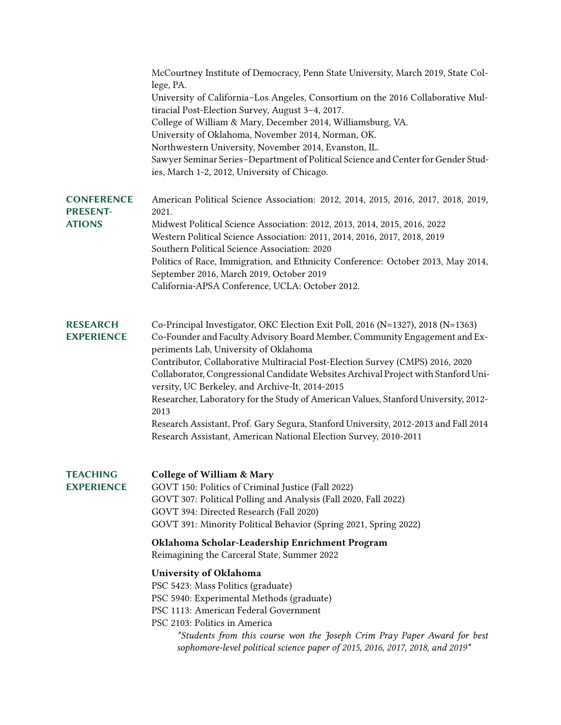|                                                       | McCourtney Institute of Democracy, Penn State University, March 2019, State Col-<br>lege, PA.<br>University of California-Los Angeles, Consortium on the 2016 Collaborative Mul-<br>tiracial Post-Election Survey, August 3-4, 2017.<br>College of William & Mary, December 2014, Williamsburg, VA.<br>University of Oklahoma, November 2014, Norman, OK.<br>Northwestern University, November 2014, Evanston, IL.<br>Sawyer Seminar Series-Department of Political Science and Center for Gender Stud-<br>ies, March 1-2, 2012, University of Chicago.                                                                                                                                                                          |
|-------------------------------------------------------|----------------------------------------------------------------------------------------------------------------------------------------------------------------------------------------------------------------------------------------------------------------------------------------------------------------------------------------------------------------------------------------------------------------------------------------------------------------------------------------------------------------------------------------------------------------------------------------------------------------------------------------------------------------------------------------------------------------------------------|
| <b>CONFERENCE</b><br><b>PRESENT-</b><br><b>ATIONS</b> | American Political Science Association: 2012, 2014, 2015, 2016, 2017, 2018, 2019,<br>2021.<br>Midwest Political Science Association: 2012, 2013, 2014, 2015, 2016, 2022<br>Western Political Science Association: 2011, 2014, 2016, 2017, 2018, 2019<br>Southern Political Science Association: 2020<br>Politics of Race, Immigration, and Ethnicity Conference: October 2013, May 2014,<br>September 2016, March 2019, October 2019<br>California-APSA Conference, UCLA: October 2012.                                                                                                                                                                                                                                          |
| <b>RESEARCH</b><br><b>EXPERIENCE</b>                  | Co-Principal Investigator, OKC Election Exit Poll, 2016 (N=1327), 2018 (N=1363)<br>Co-Founder and Faculty Advisory Board Member, Community Engagement and Ex-<br>periments Lab, University of Oklahoma<br>Contributor, Collaborative Multiracial Post-Election Survey (CMPS) 2016, 2020<br>Collaborator, Congressional Candidate Websites Archival Project with Stanford Uni-<br>versity, UC Berkeley, and Archive-It, 2014-2015<br>Researcher, Laboratory for the Study of American Values, Stanford University, 2012-<br>2013<br>Research Assistant, Prof. Gary Segura, Stanford University, 2012-2013 and Fall 2014<br>Research Assistant, American National Election Survey, 2010-2011                                       |
| <b>TEACHING</b><br><b>EXPERIENCE</b>                  | <b>College of William &amp; Mary</b><br>GOVT 150: Politics of Criminal Justice (Fall 2022)<br>GOVT 307: Political Polling and Analysis (Fall 2020, Fall 2022)<br>GOVT 394: Directed Research (Fall 2020)<br>GOVT 391: Minority Political Behavior (Spring 2021, Spring 2022)<br>Oklahoma Scholar-Leadership Enrichment Program<br>Reimagining the Carceral State, Summer 2022<br>University of Oklahoma<br>PSC 5423: Mass Politics (graduate)<br>PSC 5940: Experimental Methods (graduate)<br>PSC 1113: American Federal Government<br>PSC 2103: Politics in America<br>*Students from this course won the Joseph Crim Pray Paper Award for best<br>sophomore-level political science paper of 2015, 2016, 2017, 2018, and 2019* |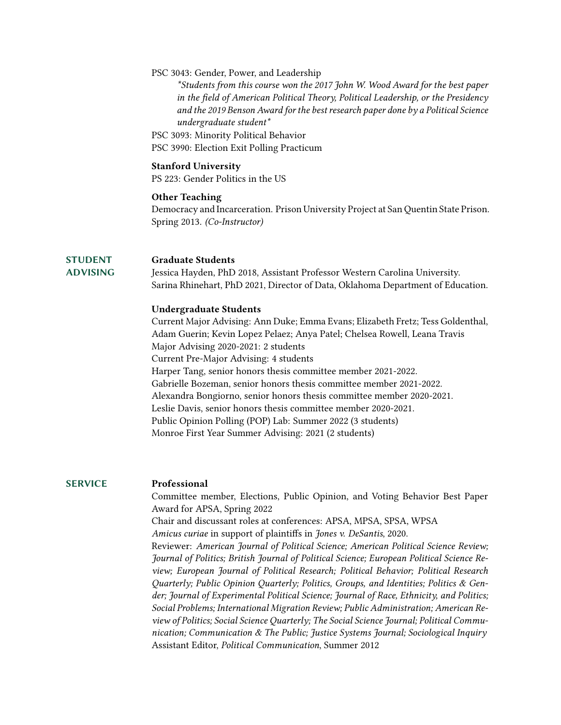### PSC 3043: Gender, Power, and Leadership

*\*Students from this course won the 2017 John W. Wood Award for the best paper in the field of American Political Theory, Political Leadership, or the Presidency and the 2019 Benson Award for the best research paper done by a Political Science undergraduate student\**

- PSC 3093: Minority Political Behavior
- PSC 3990: Election Exit Polling Practicum

### **Stanford University**

PS 223: Gender Politics in the US

### **Other Teaching**

Democracy and Incarceration. Prison University Project at San Quentin State Prison. Spring 2013. *(Co-Instructor)*

### **STUDENT Graduate Students**

**ADVISING**

Jessica Hayden, PhD 2018, Assistant Professor Western Carolina University. Sarina Rhinehart, PhD 2021, Director of Data, Oklahoma Department of Education.

### **Undergraduate Students**

Current Major Advising: Ann Duke; Emma Evans; Elizabeth Fretz; Tess Goldenthal, Adam Guerin; Kevin Lopez Pelaez; Anya Patel; Chelsea Rowell, Leana Travis Major Advising 2020-2021: 2 students Current Pre-Major Advising: 4 students Harper Tang, senior honors thesis committee member 2021-2022. Gabrielle Bozeman, senior honors thesis committee member 2021-2022. Alexandra Bongiorno, senior honors thesis committee member 2020-2021. Leslie Davis, senior honors thesis committee member 2020-2021. Public Opinion Polling (POP) Lab: Summer 2022 (3 students) Monroe First Year Summer Advising: 2021 (2 students)

## **SERVICE Professional**

Committee member, Elections, Public Opinion, and Voting Behavior Best Paper Award for APSA, Spring 2022 Chair and discussant roles at conferences: APSA, MPSA, SPSA, WPSA *Amicus curiae* in support of plaintiffs in *Jones v. DeSantis*, 2020. Reviewer: *American Journal of Political Science; American Political Science Review; Journal of Politics; British Journal of Political Science; European Political Science Review; European Journal of Political Research; Political Behavior; Political Research Quarterly; Public Opinion Quarterly; Politics, Groups, and Identities; Politics & Gender; Journal of Experimental Political Science; Journal of Race, Ethnicity, and Politics; Social Problems; International Migration Review; Public Administration; American Review of Politics; Social Science Quarterly; The Social Science Journal; Political Communication; Communication & The Public; Justice Systems Journal; Sociological Inquiry* Assistant Editor, *Political Communication*, Summer 2012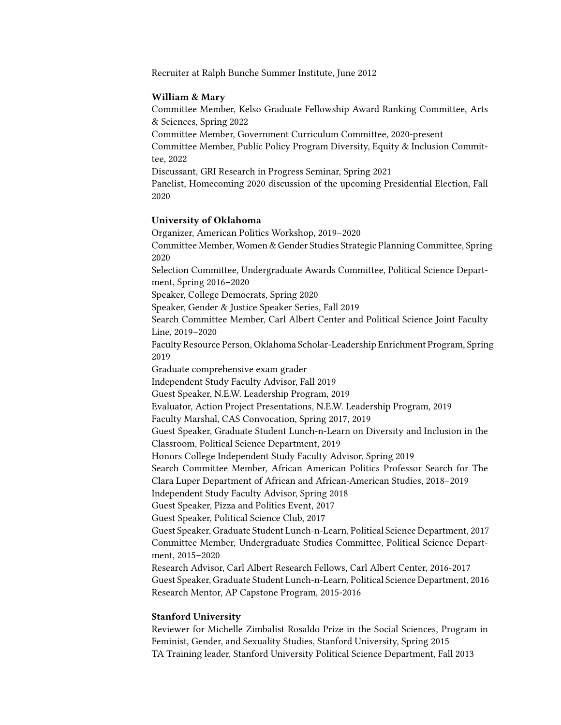Recruiter at Ralph Bunche Summer Institute, June 2012

### **William & Mary**

Committee Member, Kelso Graduate Fellowship Award Ranking Committee, Arts & Sciences, Spring 2022

Committee Member, Government Curriculum Committee, 2020-present

Committee Member, Public Policy Program Diversity, Equity & Inclusion Committee, 2022

Discussant, GRI Research in Progress Seminar, Spring 2021

Panelist, Homecoming 2020 discussion of the upcoming Presidential Election, Fall 2020

### **University of Oklahoma**

Organizer, American Politics Workshop, 2019–2020 Committee Member, Women & Gender Studies Strategic Planning Committee, Spring 2020 Selection Committee, Undergraduate Awards Committee, Political Science Department, Spring 2016–2020 Speaker, College Democrats, Spring 2020 Speaker, Gender & Justice Speaker Series, Fall 2019 Search Committee Member, Carl Albert Center and Political Science Joint Faculty Line, 2019–2020 Faculty Resource Person, Oklahoma Scholar-Leadership Enrichment Program, Spring 2019 Graduate comprehensive exam grader Independent Study Faculty Advisor, Fall 2019 Guest Speaker, N.E.W. Leadership Program, 2019 Evaluator, Action Project Presentations, N.E.W. Leadership Program, 2019 Faculty Marshal, CAS Convocation, Spring 2017, 2019 Guest Speaker, Graduate Student Lunch-n-Learn on Diversity and Inclusion in the Classroom, Political Science Department, 2019 Honors College Independent Study Faculty Advisor, Spring 2019 Search Committee Member, African American Politics Professor Search for The Clara Luper Department of African and African-American Studies, 2018–2019 Independent Study Faculty Advisor, Spring 2018 Guest Speaker, Pizza and Politics Event, 2017 Guest Speaker, Political Science Club, 2017 Guest Speaker, Graduate Student Lunch-n-Learn, Political Science Department, 2017 Committee Member, Undergraduate Studies Committee, Political Science Department, 2015–2020 Research Advisor, Carl Albert Research Fellows, Carl Albert Center, 2016-2017 Guest Speaker, Graduate Student Lunch-n-Learn, Political Science Department, 2016 Research Mentor, AP Capstone Program, 2015-2016

### **Stanford University**

Reviewer for Michelle Zimbalist Rosaldo Prize in the Social Sciences, Program in Feminist, Gender, and Sexuality Studies, Stanford University, Spring 2015 TA Training leader, Stanford University Political Science Department, Fall 2013